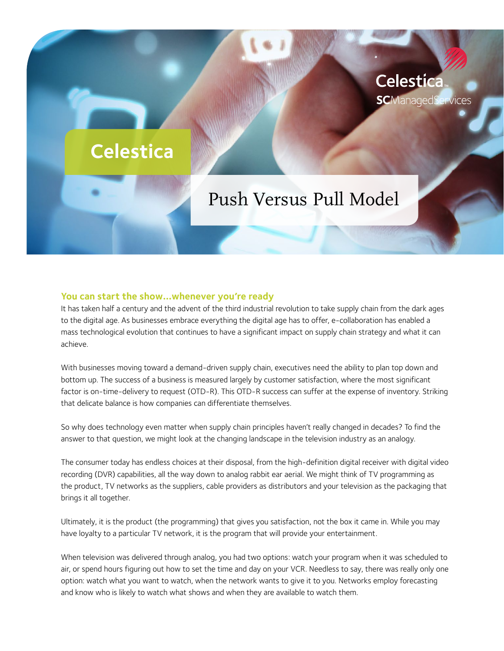# **Celestica**

# Push Versus Pull Model

Celestica

**SC**ManagedServices

#### **You can start the show…whenever you're ready**

It has taken half a century and the advent of the third industrial revolution to take supply chain from the dark ages to the digital age. As businesses embrace everything the digital age has to offer, e-collaboration has enabled a mass technological evolution that continues to have a significant impact on supply chain strategy and what it can achieve.

With businesses moving toward a demand-driven supply chain, executives need the ability to plan top down and bottom up. The success of a business is measured largely by customer satisfaction, where the most significant factor is on-time-delivery to request (OTD-R). This OTD-R success can suffer at the expense of inventory. Striking that delicate balance is how companies can differentiate themselves.

So why does technology even matter when supply chain principles haven't really changed in decades? To find the answer to that question, we might look at the changing landscape in the television industry as an analogy.

The consumer today has endless choices at their disposal, from the high-definition digital receiver with digital video recording (DVR) capabilities, all the way down to analog rabbit ear aerial. We might think of TV programming as the product, TV networks as the suppliers, cable providers as distributors and your television as the packaging that brings it all together.

Ultimately, it is the product (the programming) that gives you satisfaction, not the box it came in. While you may have loyalty to a particular TV network, it is the program that will provide your entertainment.

When television was delivered through analog, you had two options: watch your program when it was scheduled to air, or spend hours figuring out how to set the time and day on your VCR. Needless to say, there was really only one option: watch what you want to watch, when the network wants to give it to you. Networks employ forecasting and know who is likely to watch what shows and when they are available to watch them.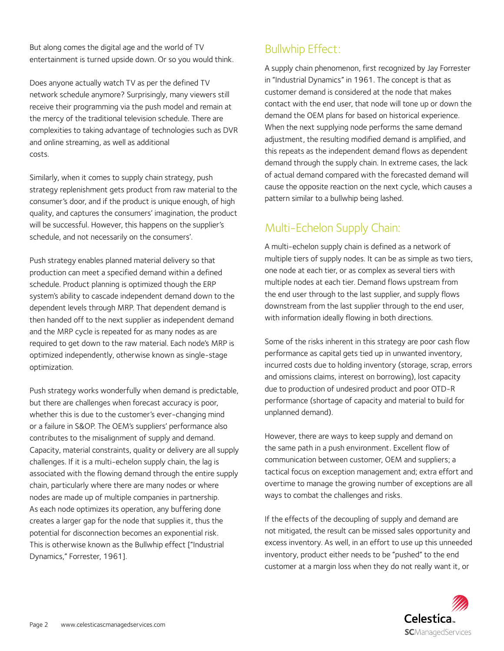But along comes the digital age and the world of TV entertainment is turned upside down. Or so you would think.

Does anyone actually watch TV as per the defined TV network schedule anymore? Surprisingly, many viewers still receive their programming via the push model and remain at the mercy of the traditional television schedule. There are complexities to taking advantage of technologies such as DVR and online streaming, as well as additional costs.

Similarly, when it comes to supply chain strategy, push strategy replenishment gets product from raw material to the consumer's door, and if the product is unique enough, of high quality, and captures the consumers' imagination, the product will be successful. However, this happens on the supplier's schedule, and not necessarily on the consumers'.

Push strategy enables planned material delivery so that production can meet a specified demand within a defined schedule. Product planning is optimized though the ERP system's ability to cascade independent demand down to the dependent levels through MRP. That dependent demand is then handed off to the next supplier as independent demand and the MRP cycle is repeated for as many nodes as are required to get down to the raw material. Each node's MRP is optimized independently, otherwise known as single-stage optimization.

Push strategy works wonderfully when demand is predictable, but there are challenges when forecast accuracy is poor, whether this is due to the customer's ever-changing mind or a failure in S&OP. The OEM's suppliers' performance also contributes to the misalignment of supply and demand. Capacity, material constraints, quality or delivery are all supply challenges. If it is a multi-echelon supply chain, the lag is associated with the flowing demand through the entire supply chain, particularly where there are many nodes or where nodes are made up of multiple companies in partnership. As each node optimizes its operation, any buffering done creates a larger gap for the node that supplies it, thus the potential for disconnection becomes an exponential risk. This is otherwise known as the Bullwhip effect ["Industrial Dynamics," Forrester, 1961].

# Bullwhip Effect:

A supply chain phenomenon, first recognized by Jay Forrester in "Industrial Dynamics" in 1961. The concept is that as customer demand is considered at the node that makes contact with the end user, that node will tone up or down the demand the OEM plans for based on historical experience. When the next supplying node performs the same demand adjustment, the resulting modified demand is amplified, and this repeats as the independent demand flows as dependent demand through the supply chain. In extreme cases, the lack of actual demand compared with the forecasted demand will cause the opposite reaction on the next cycle, which causes a pattern similar to a bullwhip being lashed.

# Multi-Echelon Supply Chain:

A multi-echelon supply chain is defined as a network of multiple tiers of supply nodes. It can be as simple as two tiers, one node at each tier, or as complex as several tiers with multiple nodes at each tier. Demand flows upstream from the end user through to the last supplier, and supply flows downstream from the last supplier through to the end user, with information ideally flowing in both directions.

Some of the risks inherent in this strategy are poor cash flow performance as capital gets tied up in unwanted inventory, incurred costs due to holding inventory (storage, scrap, errors and omissions claims, interest on borrowing), lost capacity due to production of undesired product and poor OTD-R performance (shortage of capacity and material to build for unplanned demand).

However, there are ways to keep supply and demand on the same path in a push environment. Excellent flow of communication between customer, OEM and suppliers; a tactical focus on exception management and; extra effort and overtime to manage the growing number of exceptions are all ways to combat the challenges and risks.

If the effects of the decoupling of supply and demand are not mitigated, the result can be missed sales opportunity and excess inventory. As well, in an effort to use up this unneeded inventory, product either needs to be "pushed" to the end customer at a margin loss when they do not really want it, or

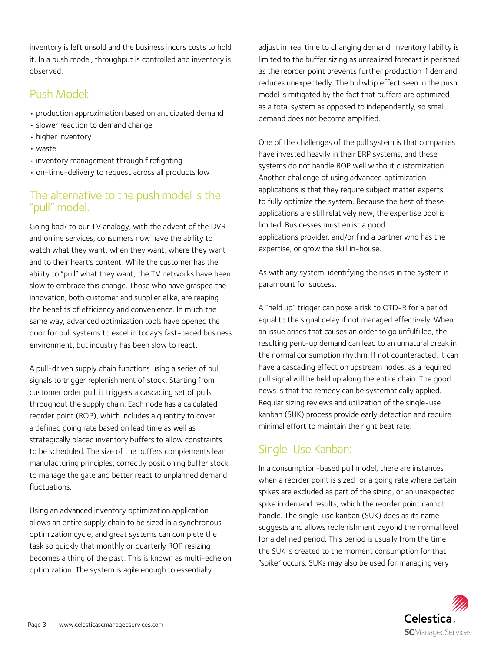inventory is left unsold and the business incurs costs to hold it. In a push model, throughput is controlled and inventory is observed.

## Push Model:

- production approximation based on anticipated demand
- slower reaction to demand change
- higher inventory
- waste
- inventory management through firefighting
- on-time-delivery to request across all products low

## The alternative to the push model is the "pull" model.

Going back to our TV analogy, with the advent of the DVR and online services, consumers now have the ability to watch what they want, when they want, where they want and to their heart's content. While the customer has the ability to "pull" what they want, the TV networks have been slow to embrace this change. Those who have grasped the innovation, both customer and supplier alike, are reaping the benefits of efficiency and convenience. In much the same way, advanced optimization tools have opened the door for pull systems to excel in today's fast-paced business environment, but industry has been slow to react.

A pull-driven supply chain functions using a series of pull signals to trigger replenishment of stock. Starting from customer order pull, it triggers a cascading set of pulls throughout the supply chain. Each node has a calculated reorder point (ROP), which includes a quantity to cover a defined going rate based on lead time as well as strategically placed inventory buffers to allow constraints to be scheduled. The size of the buffers complements lean manufacturing principles, correctly positioning buffer stock to manage the gate and better react to unplanned demand fluctuations.

Using an advanced inventory optimization application allows an entire supply chain to be sized in a synchronous optimization cycle, and great systems can complete the task so quickly that monthly or quarterly ROP resizing becomes a thing of the past. This is known as multi-echelon optimization. The system is agile enough to essentially

adjust in real time to changing demand. Inventory liability is limited to the buffer sizing as unrealized forecast is perished as the reorder point prevents further production if demand reduces unexpectedly. The bullwhip effect seen in the push model is mitigated by the fact that buffers are optimized as a total system as opposed to independently, so small demand does not become amplified.

One of the challenges of the pull system is that companies have invested heavily in their ERP systems, and these systems do not handle ROP well without customization. Another challenge of using advanced optimization applications is that they require subject matter experts to fully optimize the system. Because the best of these applications are still relatively new, the expertise pool is limited. Businesses must enlist a good applications provider, and/or find a partner who has the expertise, or grow the skill in-house.

As with any system, identifying the risks in the system is paramount for success.

A "held up" trigger can pose a risk to OTD-R for a period equal to the signal delay if not managed effectively. When an issue arises that causes an order to go unfulfilled, the resulting pent-up demand can lead to an unnatural break in the normal consumption rhythm. If not counteracted, it can have a cascading effect on upstream nodes, as a required pull signal will be held up along the entire chain. The good news is that the remedy can be systematically applied. Regular sizing reviews and utilization of the single-use kanban (SUK) process provide early detection and require minimal effort to maintain the right beat rate.

# Single-Use Kanban:

In a consumption-based pull model, there are instances when a reorder point is sized for a going rate where certain spikes are excluded as part of the sizing, or an unexpected spike in demand results, which the reorder point cannot handle. The single-use kanban (SUK) does as its name suggests and allows replenishment beyond the normal level for a defined period. This period is usually from the time the SUK is created to the moment consumption for that "spike" occurs. SUKs may also be used for managing very

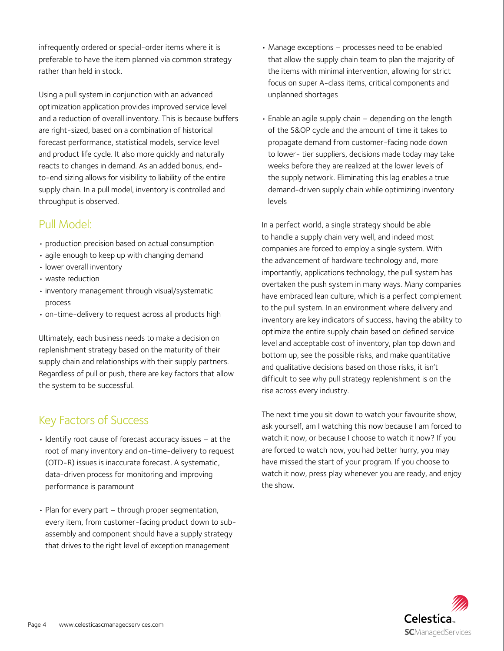infrequently ordered or special-order items where it is preferable to have the item planned via common strategy rather than held in stock.

Using a pull system in conjunction with an advanced optimization application provides improved service level and a reduction of overall inventory. This is because buffers are right-sized, based on a combination of historical forecast performance, statistical models, service level and product life cycle. It also more quickly and naturally reacts to changes in demand. As an added bonus, endto-end sizing allows for visibility to liability of the entire supply chain. In a pull model, inventory is controlled and throughput is observed.

### Pull Model:

- production precision based on actual consumption
- agile enough to keep up with changing demand
- lower overall inventory
- waste reduction
- inventory management through visual/systematic process
- on-time-delivery to request across all products high

Ultimately, each business needs to make a decision on replenishment strategy based on the maturity of their supply chain and relationships with their supply partners. Regardless of pull or push, there are key factors that allow the system to be successful.

# Key Factors of Success

- Identify root cause of forecast accuracy issues at the root of many inventory and on-time-delivery to request (OTD-R) issues is inaccurate forecast. A systematic, data-driven process for monitoring and improving performance is paramount
- Plan for every part through proper segmentation, every item, from customer-facing product down to subassembly and component should have a supply strategy that drives to the right level of exception management
- Manage exceptions processes need to be enabled that allow the supply chain team to plan the majority of the items with minimal intervention, allowing for strict focus on super A-class items, critical components and unplanned shortages
- Enable an agile supply chain depending on the length of the S&OP cycle and the amount of time it takes to propagate demand from customer-facing node down to lower- tier suppliers, decisions made today may take weeks before they are realized at the lower levels of the supply network. Eliminating this lag enables a true demand-driven supply chain while optimizing inventory levels

In a perfect world, a single strategy should be able to handle a supply chain very well, and indeed most companies are forced to employ a single system. With the advancement of hardware technology and, more importantly, applications technology, the pull system has overtaken the push system in many ways. Many companies have embraced lean culture, which is a perfect complement to the pull system. In an environment where delivery and inventory are key indicators of success, having the ability to optimize the entire supply chain based on defined service level and acceptable cost of inventory, plan top down and bottom up, see the possible risks, and make quantitative and qualitative decisions based on those risks, it isn't difficult to see why pull strategy replenishment is on the rise across every industry.

The next time you sit down to watch your favourite show, ask yourself, am I watching this now because I am forced to watch it now, or because I choose to watch it now? If you are forced to watch now, you had better hurry, you may have missed the start of your program. If you choose to watch it now, press play whenever you are ready, and enjoy the show.